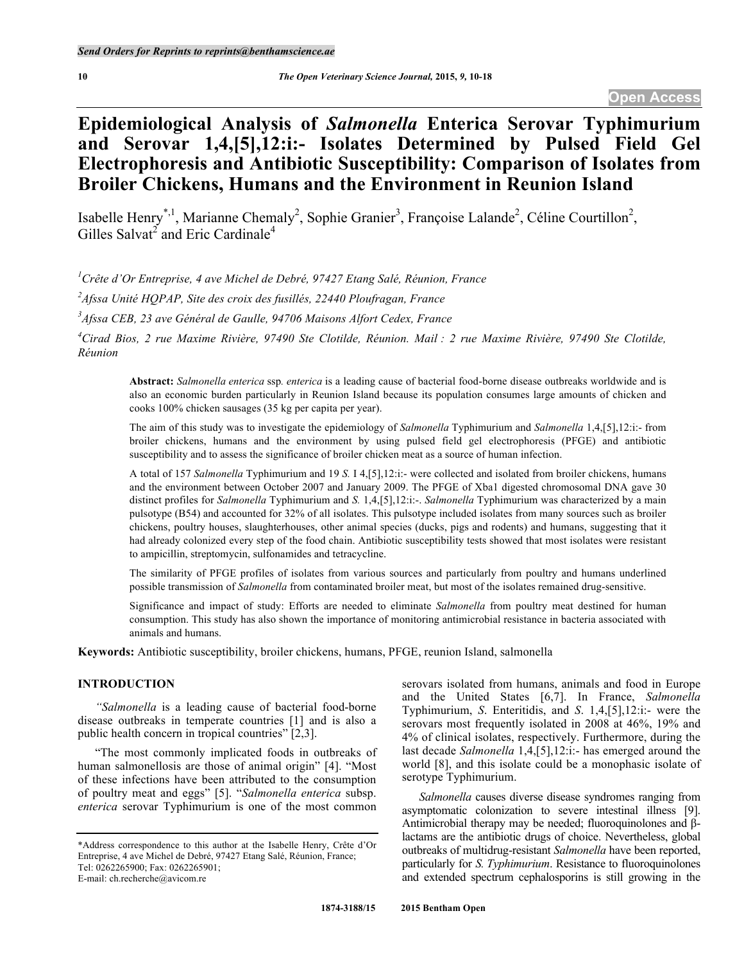# **Epidemiological Analysis of** *Salmonella* **Enterica Serovar Typhimurium and Serovar 1,4,[5],12:i:- Isolates Determined by Pulsed Field Gel Electrophoresis and Antibiotic Susceptibility: Comparison of Isolates from Broiler Chickens, Humans and the Environment in Reunion Island**

Isabelle Henry<sup>\*,1</sup>, Marianne Chemaly<sup>2</sup>, Sophie Granier<sup>3</sup>, Françoise Lalande<sup>2</sup>, Céline Courtillon<sup>2</sup>, Gilles Salvat<sup>2</sup> and Eric Cardinale<sup>4</sup>

*1 Crête d'Or Entreprise, 4 ave Michel de Debré, 97427 Etang Salé, Réunion, France*

*2 Afssa Unité HQPAP, Site des croix des fusillés, 22440 Ploufragan, France*

*3 Afssa CEB, 23 ave Général de Gaulle, 94706 Maisons Alfort Cedex, France*

*4 Cirad Bios, 2 rue Maxime Rivière, 97490 Ste Clotilde, Réunion. Mail : 2 rue Maxime Rivière, 97490 Ste Clotilde, Réunion*

**Abstract:** *Salmonella enterica* ssp*. enterica* is a leading cause of bacterial food-borne disease outbreaks worldwide and is also an economic burden particularly in Reunion Island because its population consumes large amounts of chicken and cooks 100% chicken sausages (35 kg per capita per year).

The aim of this study was to investigate the epidemiology of *Salmonella* Typhimurium and *Salmonella* 1,4,[5],12:i:- from broiler chickens, humans and the environment by using pulsed field gel electrophoresis (PFGE) and antibiotic susceptibility and to assess the significance of broiler chicken meat as a source of human infection.

A total of 157 *Salmonella* Typhimurium and 19 *S.* I 4,[5],12:i:- were collected and isolated from broiler chickens, humans and the environment between October 2007 and January 2009. The PFGE of Xba1 digested chromosomal DNA gave 30 distinct profiles for *Salmonella* Typhimurium and *S.* 1,4,[5],12:i:-. *Salmonella* Typhimurium was characterized by a main pulsotype (B54) and accounted for 32% of all isolates. This pulsotype included isolates from many sources such as broiler chickens, poultry houses, slaughterhouses, other animal species (ducks, pigs and rodents) and humans, suggesting that it had already colonized every step of the food chain. Antibiotic susceptibility tests showed that most isolates were resistant to ampicillin, streptomycin, sulfonamides and tetracycline.

The similarity of PFGE profiles of isolates from various sources and particularly from poultry and humans underlined possible transmission of *Salmonella* from contaminated broiler meat, but most of the isolates remained drug-sensitive.

Significance and impact of study: Efforts are needed to eliminate *Salmonella* from poultry meat destined for human consumption. This study has also shown the importance of monitoring antimicrobial resistance in bacteria associated with animals and humans.

**Keywords:** Antibiotic susceptibility, broiler chickens, humans, PFGE, reunion Island, salmonella

# **INTRODUCTION**

*"Salmonella* is a leading cause of bacterial food-borne disease outbreaks in temperate countries [1] and is also a public health concern in tropical countries" [2,3].

"The most commonly implicated foods in outbreaks of human salmonellosis are those of animal origin" [4]. "Most of these infections have been attributed to the consumption of poultry meat and eggs" [5]. "*Salmonella enterica* subsp. *enterica* serovar Typhimurium is one of the most common

serovars isolated from humans, animals and food in Europe and the United States [6,7]. In France, *Salmonella* Typhimurium, *S*. Enteritidis, and *S*. 1,4,[5],12:i:- were the serovars most frequently isolated in 2008 at 46%, 19% and 4% of clinical isolates, respectively. Furthermore, during the last decade *Salmonella* 1,4,[5],12:i:- has emerged around the world [8], and this isolate could be a monophasic isolate of serotype Typhimurium.

*Salmonella* causes diverse disease syndromes ranging from asymptomatic colonization to severe intestinal illness [9]. Antimicrobial therapy may be needed; fluoroquinolones and βlactams are the antibiotic drugs of choice. Nevertheless, global outbreaks of multidrug-resistant *Salmonella* have been reported, particularly for *S. Typhimurium*. Resistance to fluoroquinolones and extended spectrum cephalosporins is still growing in the

<sup>\*</sup>Address correspondence to this author at the Isabelle Henry, Crête d'Or Entreprise, 4 ave Michel de Debré, 97427 Etang Salé, Réunion, France; Tel: 0262265900; Fax: 0262265901; E-mail: ch.recherche@avicom.re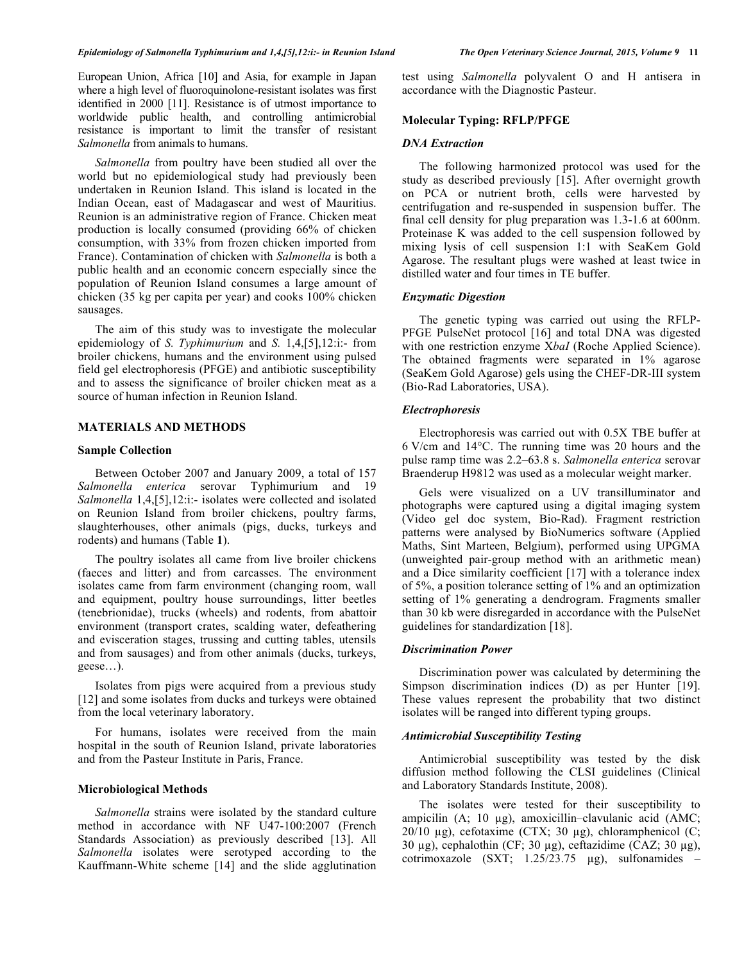European Union, Africa [10] and Asia, for example in Japan where a high level of fluoroquinolone-resistant isolates was first identified in 2000 [11]. Resistance is of utmost importance to worldwide public health, and controlling antimicrobial resistance is important to limit the transfer of resistant *Salmonella* from animals to humans.

*Salmonella* from poultry have been studied all over the world but no epidemiological study had previously been undertaken in Reunion Island. This island is located in the Indian Ocean, east of Madagascar and west of Mauritius. Reunion is an administrative region of France. Chicken meat production is locally consumed (providing 66% of chicken consumption, with 33% from frozen chicken imported from France). Contamination of chicken with *Salmonella* is both a public health and an economic concern especially since the population of Reunion Island consumes a large amount of chicken (35 kg per capita per year) and cooks 100% chicken sausages.

The aim of this study was to investigate the molecular epidemiology of *S. Typhimurium* and *S.* 1,4,[5],12:i:- from broiler chickens, humans and the environment using pulsed field gel electrophoresis (PFGE) and antibiotic susceptibility and to assess the significance of broiler chicken meat as a source of human infection in Reunion Island.

# **MATERIALS AND METHODS**

## **Sample Collection**

Between October 2007 and January 2009, a total of 157 *Salmonella enterica* serovar Typhimurium and 19 *Salmonella* 1,4,[5],12:i:- isolates were collected and isolated on Reunion Island from broiler chickens, poultry farms, slaughterhouses, other animals (pigs, ducks, turkeys and rodents) and humans (Table **1**).

The poultry isolates all came from live broiler chickens (faeces and litter) and from carcasses. The environment isolates came from farm environment (changing room, wall and equipment, poultry house surroundings, litter beetles (tenebrionidae), trucks (wheels) and rodents, from abattoir environment (transport crates, scalding water, defeathering and evisceration stages, trussing and cutting tables, utensils and from sausages) and from other animals (ducks, turkeys, geese…).

Isolates from pigs were acquired from a previous study [12] and some isolates from ducks and turkeys were obtained from the local veterinary laboratory.

For humans, isolates were received from the main hospital in the south of Reunion Island, private laboratories and from the Pasteur Institute in Paris, France.

## **Microbiological Methods**

*Salmonella* strains were isolated by the standard culture method in accordance with NF U47-100:2007 (French Standards Association) as previously described [13]. All *Salmonella* isolates were serotyped according to the Kauffmann-White scheme [14] and the slide agglutination

test using *Salmonella* polyvalent O and H antisera in accordance with the Diagnostic Pasteur.

### **Molecular Typing: RFLP/PFGE**

#### *DNA Extraction*

The following harmonized protocol was used for the study as described previously [15]. After overnight growth on PCA or nutrient broth, cells were harvested by centrifugation and re-suspended in suspension buffer. The final cell density for plug preparation was 1.3-1.6 at 600nm. Proteinase K was added to the cell suspension followed by mixing lysis of cell suspension 1:1 with SeaKem Gold Agarose. The resultant plugs were washed at least twice in distilled water and four times in TE buffer.

### *Enzymatic Digestion*

The genetic typing was carried out using the RFLP-PFGE PulseNet protocol [16] and total DNA was digested with one restriction enzyme X*baI* (Roche Applied Science). The obtained fragments were separated in 1% agarose (SeaKem Gold Agarose) gels using the CHEF-DR-III system (Bio-Rad Laboratories, USA).

#### *Electrophoresis*

Electrophoresis was carried out with 0.5X TBE buffer at 6 V/cm and 14°C. The running time was 20 hours and the pulse ramp time was 2.2–63.8 s. *Salmonella enterica* serovar Braenderup H9812 was used as a molecular weight marker.

Gels were visualized on a UV transilluminator and photographs were captured using a digital imaging system (Video gel doc system, Bio-Rad). Fragment restriction patterns were analysed by BioNumerics software (Applied Maths, Sint Marteen, Belgium), performed using UPGMA (unweighted pair-group method with an arithmetic mean) and a Dice similarity coefficient [17] with a tolerance index of 5%, a position tolerance setting of 1% and an optimization setting of 1% generating a dendrogram. Fragments smaller than 30 kb were disregarded in accordance with the PulseNet guidelines for standardization [18].

## *Discrimination Power*

Discrimination power was calculated by determining the Simpson discrimination indices (D) as per Hunter [19]. These values represent the probability that two distinct isolates will be ranged into different typing groups.

# *Antimicrobial Susceptibility Testing*

Antimicrobial susceptibility was tested by the disk diffusion method following the CLSI guidelines (Clinical and Laboratory Standards Institute, 2008).

The isolates were tested for their susceptibility to ampicilin (A; 10 µg), amoxicillin–clavulanic acid (AMC; 20/10 μg), cefotaxime (CTX; 30 μg), chloramphenicol (C; 30 µg), cephalothin (CF; 30 µg), ceftazidime (CAZ; 30 µg), cotrimoxazole (SXT; 1.25/23.75 µg), sulfonamides –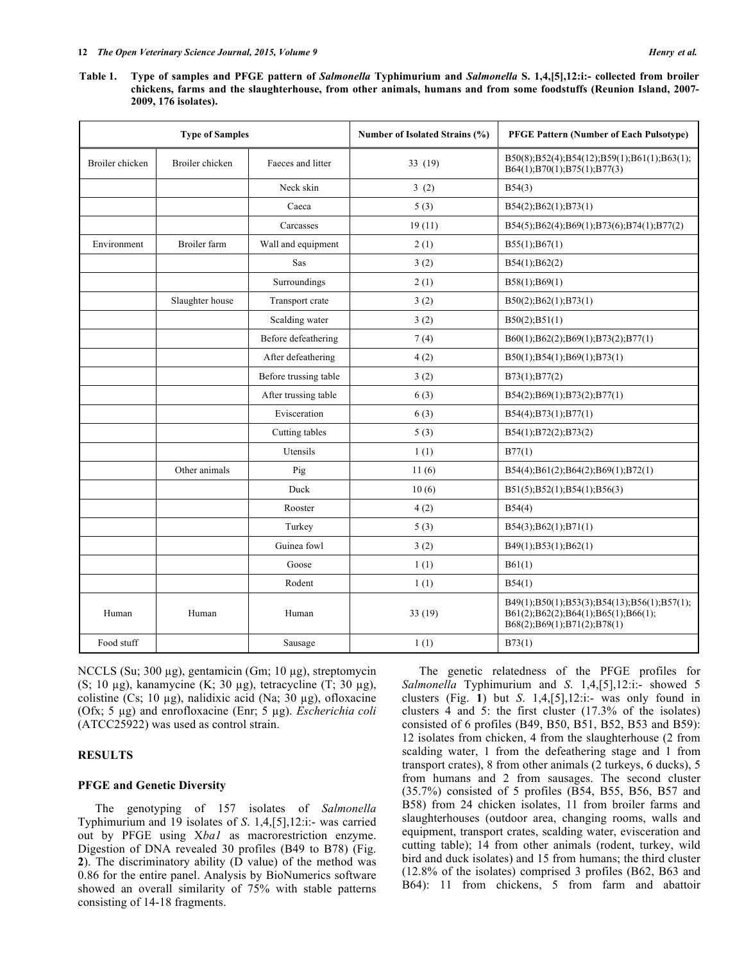**Table 1. Type of samples and PFGE pattern of** *Salmonella* **Typhimurium and** *Salmonella* **S. 1,4,[5],12:i:- collected from broiler chickens, farms and the slaughterhouse, from other animals, humans and from some foodstuffs (Reunion Island, 2007- 2009, 176 isolates).**

|                 | <b>Type of Samples</b> |                       | Number of Isolated Strains (%) | <b>PFGE Pattern (Number of Each Pulsotype)</b>                                                                    |  |  |  |  |
|-----------------|------------------------|-----------------------|--------------------------------|-------------------------------------------------------------------------------------------------------------------|--|--|--|--|
| Broiler chicken | Broiler chicken        | Faeces and litter     | 33 (19)                        | B50(8);B52(4);B54(12);B59(1);B61(1);B63(1);<br>B64(1); B70(1); B75(1); B77(3)                                     |  |  |  |  |
|                 |                        | Neck skin             | 3(2)                           | B54(3)                                                                                                            |  |  |  |  |
|                 |                        | Caeca                 | 5(3)                           | B54(2);B62(1);B73(1)                                                                                              |  |  |  |  |
|                 |                        | Carcasses             | 19(11)                         | B54(5);B62(4);B69(1);B73(6);B74(1);B77(2)                                                                         |  |  |  |  |
| Environment     | Broiler farm           | Wall and equipment    | 2(1)                           | B55(1); B67(1)                                                                                                    |  |  |  |  |
|                 |                        | Sas                   | 3(2)                           | B54(1); B62(2)                                                                                                    |  |  |  |  |
|                 |                        | Surroundings          | 2(1)                           | B58(1); B69(1)                                                                                                    |  |  |  |  |
|                 | Slaughter house        | Transport crate       | 3(2)                           | B50(2); B62(1); B73(1)                                                                                            |  |  |  |  |
|                 |                        | Scalding water        | 3(2)                           | B50(2); B51(1)                                                                                                    |  |  |  |  |
|                 |                        | Before defeathering   | 7(4)                           | B60(1);B62(2);B69(1);B73(2);B77(1)                                                                                |  |  |  |  |
|                 |                        | After defeathering    | 4(2)                           | B50(1);B54(1);B69(1);B73(1)                                                                                       |  |  |  |  |
|                 |                        | Before trussing table | 3(2)                           | B73(1); B77(2)                                                                                                    |  |  |  |  |
|                 |                        | After trussing table  | 6(3)                           | B54(2);B69(1);B73(2);B77(1)                                                                                       |  |  |  |  |
|                 |                        | Evisceration          | 6(3)                           | B54(4);B73(1);B77(1)                                                                                              |  |  |  |  |
|                 |                        | Cutting tables        | 5(3)                           | B54(1);B72(2);B73(2)                                                                                              |  |  |  |  |
|                 |                        | Utensils              | 1(1)                           | B77(1)                                                                                                            |  |  |  |  |
|                 | Other animals          | Pig                   | 11(6)                          | B54(4);B61(2);B64(2);B69(1);B72(1)                                                                                |  |  |  |  |
|                 |                        | Duck                  | 10(6)                          | B51(5);B52(1);B54(1);B56(3)                                                                                       |  |  |  |  |
|                 |                        | Rooster               | 4(2)                           | B54(4)                                                                                                            |  |  |  |  |
|                 |                        | Turkey                | 5(3)                           | B54(3); B62(1); B71(1)                                                                                            |  |  |  |  |
|                 |                        | Guinea fowl           | 3(2)                           | B49(1);B53(1);B62(1)                                                                                              |  |  |  |  |
|                 |                        | Goose                 | 1(1)                           | B61(1)                                                                                                            |  |  |  |  |
|                 |                        | Rodent                | 1(1)                           | B54(1)                                                                                                            |  |  |  |  |
| Human           | Human                  | Human                 | 33(19)                         | B49(1);B50(1);B53(3);B54(13);B56(1);B57(1);<br>B61(2);B62(2);B64(1);B65(1);B66(1);<br>B68(2);B69(1);B71(2);B78(1) |  |  |  |  |
| Food stuff      |                        | Sausage               | 1(1)                           | B73(1)                                                                                                            |  |  |  |  |

NCCLS (Su; 300 µg), gentamicin (Gm; 10 µg), streptomycin (S; 10 µg), kanamycine (K; 30 µg), tetracycline (T; 30 µg), colistine (Cs; 10 µg), nalidixic acid (Na; 30 µg), ofloxacine (Ofx; 5 µg) and enrofloxacine (Enr; 5 µg). *Escherichia coli* (ATCC25922) was used as control strain.

# **RESULTS**

#### **PFGE and Genetic Diversity**

The genotyping of 157 isolates of *Salmonella* Typhimurium and 19 isolates of *S*. 1,4,[5],12:i:- was carried out by PFGE using X*ba1* as macrorestriction enzyme. Digestion of DNA revealed 30 profiles (B49 to B78) (Fig. **2**). The discriminatory ability (D value) of the method was 0.86 for the entire panel. Analysis by BioNumerics software showed an overall similarity of 75% with stable patterns consisting of 14-18 fragments.

The genetic relatedness of the PFGE profiles for *Salmonella* Typhimurium and *S*. 1,4,[5],12:i:- showed 5 clusters (Fig. **1**) but *S*. 1,4,[5],12:i:- was only found in clusters 4 and 5: the first cluster (17.3% of the isolates) consisted of 6 profiles (B49, B50, B51, B52, B53 and B59): 12 isolates from chicken, 4 from the slaughterhouse (2 from scalding water, 1 from the defeathering stage and 1 from transport crates), 8 from other animals (2 turkeys, 6 ducks), 5 from humans and 2 from sausages. The second cluster (35.7%) consisted of 5 profiles (B54, B55, B56, B57 and B58) from 24 chicken isolates, 11 from broiler farms and slaughterhouses (outdoor area, changing rooms, walls and equipment, transport crates, scalding water, evisceration and cutting table); 14 from other animals (rodent, turkey, wild bird and duck isolates) and 15 from humans; the third cluster (12.8% of the isolates) comprised 3 profiles (B62, B63 and B64): 11 from chickens, 5 from farm and abattoir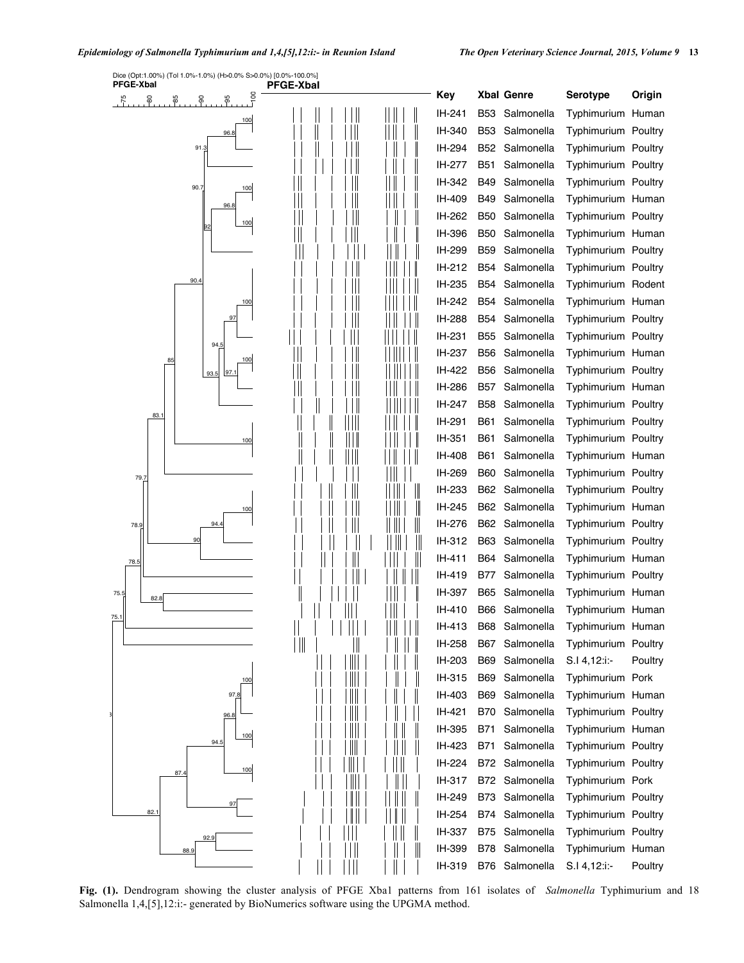

**Fig. (1).** Dendrogram showing the cluster analysis of PFGE Xba1 patterns from 161 isolates of *Salmonella* Typhimurium and 18 Salmonella 1,4,[5],12:i:- generated by BioNumerics software using the UPGMA method.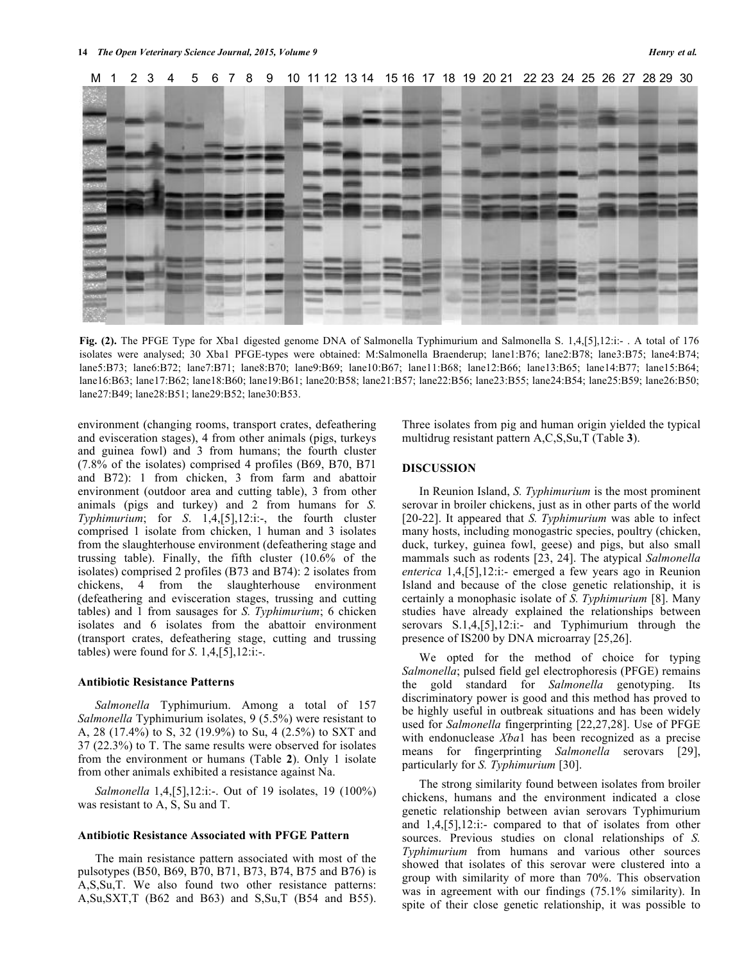

**Fig. (2).** The PFGE Type for Xba1 digested genome DNA of Salmonella Typhimurium and Salmonella S. 1,4,[5],12:i:- . A total of 176 isolates were analysed; 30 Xba1 PFGE-types were obtained: M:Salmonella Braenderup; lane1:B76; lane2:B78; lane3:B75; lane4:B74; lane5:B73; lane6:B72; lane7:B71; lane8:B70; lane9:B69; lane10:B67; lane11:B68; lane12:B66; lane13:B65; lane14:B77; lane15:B64; lane16:B63; lane17:B62; lane18:B60; lane19:B61; lane20:B58; lane21:B57; lane22:B56; lane23:B55; lane24:B54; lane25:B59; lane26:B50; lane27:B49; lane28:B51; lane29:B52; lane30:B53.

environment (changing rooms, transport crates, defeathering and evisceration stages), 4 from other animals (pigs, turkeys multidrug resistant pattern  $A, C, S, Su, T$  (Table 3). and guinea fowl) and 3 from humans; the fourth cluster  $(7.8\% \text{ of the isolates})$  comprised 4 profiles (B69, B70, B71 **DISCUSSION** and B72): 1 from chicken, 3 from farm and abattoir environment (outdoor area and cutting table), 3 from other animals (pigs and turkey) and 2 from humans for *S. Typhimurium*; for *S*. 1,4,[5],12:i:-, the fourth cluster comprised 1 isolate from chicken, 1 human and 3 isolates from the slaughterhouse environment (defeathering stage and trussing table). Finally, the fifth cluster (10.6% of the isolates) comprised 2 profiles (B73 and B74): 2 isolates from chickens, 4 from the slaughterhouse environment (defeathering and evisceration stages, trussing and cutting tables) and 1 from sausages for *S. Typhimurium*; 6 chicken isolates and 6 isolates from the abattoir environment (transport crates, defeathering stage, cutting and trussing tables) were found for *S*. 1,4,[5],12:i:-.

## **Antibiotic Resistance Patterns**

*Salmonella* Typhimurium. Among a total of 157 *Salmonella* Typhimurium isolates, 9 (5.5%) were resistant to A, 28 (17.4%) to S, 32 (19.9%) to Su, 4 (2.5%) to SXT and 37 (22.3%) to T. The same results were observed for isolates from the environment or humans (Table **2**). Only 1 isolate from other animals exhibited a resistance against Na.

*Salmonella* 1,4,[5],12:i:-. Out of 19 isolates, 19 (100%) was resistant to A, S, Su and T.

## **Antibiotic Resistance Associated with PFGE Pattern**

The main resistance pattern associated with most of the pulsotypes (B50, B69, B70, B71, B73, B74, B75 and B76) is A,S,Su,T. We also found two other resistance patterns: A,Su,SXT,T (B62 and B63) and S,Su,T (B54 and B55). Three isolates from pig and human origin yielded the typical multidrug resistant pattern A,C,S,Su,T (Table **3**).

## **DISCUSSION**

In Reunion Island, *S. Typhimurium* is the most prominent serovar in broiler chickens, just as in other parts of the world [20-22]. It appeared that *S. Typhimurium* was able to infect many hosts, including monogastric species, poultry (chicken, duck, turkey, guinea fowl, geese) and pigs, but also small mammals such as rodents [23, 24]. The atypical *Salmonella enterica* 1,4,[5],12:i:- emerged a few years ago in Reunion Island and because of the close genetic relationship, it is certainly a monophasic isolate of *S. Typhimurium* [8]. Many studies have already explained the relationships between serovars S.1,4, [5], 12: i:- and Typhimurium through the presence of IS200 by DNA microarray [25,26].

We opted for the method of choice for typing *Salmonella*; pulsed field gel electrophoresis (PFGE) remains the gold standard for *Salmonella* genotyping. Its discriminatory power is good and this method has proved to be highly useful in outbreak situations and has been widely used for *Salmonella* fingerprinting [22,27,28]. Use of PFGE with endonuclease *Xba*1 has been recognized as a precise means for fingerprinting *Salmonella* serovars [29], particularly for *S. Typhimurium* [30].

The strong similarity found between isolates from broiler chickens, humans and the environment indicated a close genetic relationship between avian serovars Typhimurium and 1,4,[5],12:i:- compared to that of isolates from other sources. Previous studies on clonal relationships of *S. Typhimurium* from humans and various other sources showed that isolates of this serovar were clustered into a group with similarity of more than 70%. This observation was in agreement with our findings (75.1% similarity). In spite of their close genetic relationship, it was possible to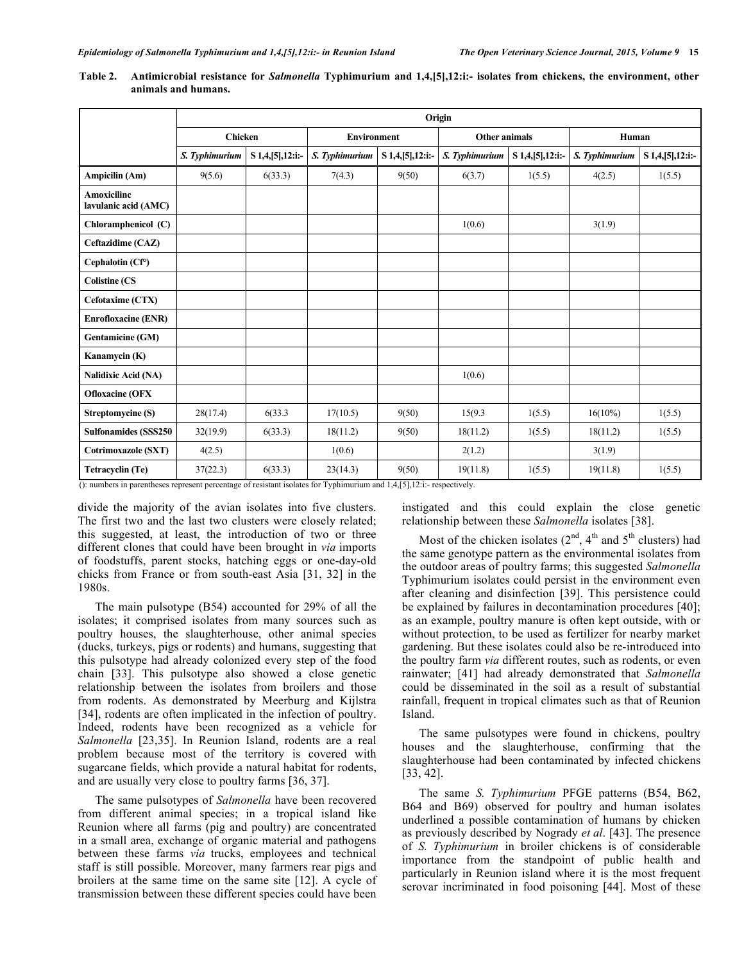|                                            | Origin                                |         |                       |                                      |                      |                     |                |                     |  |  |  |
|--------------------------------------------|---------------------------------------|---------|-----------------------|--------------------------------------|----------------------|---------------------|----------------|---------------------|--|--|--|
|                                            | <b>Chicken</b>                        |         | <b>Environment</b>    |                                      | <b>Other animals</b> |                     | Human          |                     |  |  |  |
|                                            | S. Typhimurium<br>S 1,4, [5], 12: i:- |         | S. Typhimurium        | S 1,4, [5], 12: i:-                  | S. Typhimurium       | S 1,4, [5], 12: i:- | S. Typhimurium | S 1,4, [5], 12: i:- |  |  |  |
| Ampicilin (Am)<br>9(5.6)<br>6(33.3)        |                                       |         | 9(50)<br>7(4.3)       |                                      | 6(3.7)<br>1(5.5)     |                     | 4(2.5)         | 1(5.5)              |  |  |  |
| <b>Amoxicilinc</b><br>lavulanic acid (AMC) |                                       |         |                       |                                      |                      |                     |                |                     |  |  |  |
| Chloramphenicol (C)                        |                                       |         |                       |                                      | 1(0.6)               |                     | 3(1.9)         |                     |  |  |  |
| Ceftazidime (CAZ)                          |                                       |         |                       |                                      |                      |                     |                |                     |  |  |  |
| Cephalotin (Cf°)                           |                                       |         |                       |                                      |                      |                     |                |                     |  |  |  |
| <b>Colistine (CS</b>                       |                                       |         |                       |                                      |                      |                     |                |                     |  |  |  |
| Cefotaxime (CTX)                           |                                       |         |                       |                                      |                      |                     |                |                     |  |  |  |
| <b>Enrofloxacine (ENR)</b>                 |                                       |         |                       |                                      |                      |                     |                |                     |  |  |  |
| <b>Gentamicine (GM)</b>                    |                                       |         |                       |                                      |                      |                     |                |                     |  |  |  |
| Kanamycin (K)                              |                                       |         |                       |                                      |                      |                     |                |                     |  |  |  |
| <b>Nalidixic Acid (NA)</b>                 |                                       |         |                       |                                      | 1(0.6)               |                     |                |                     |  |  |  |
| <b>Ofloxacine (OFX</b>                     |                                       |         |                       |                                      |                      |                     |                |                     |  |  |  |
| Streptomycine (S)                          | 28(17.4)                              | 6(33.3) | 17(10.5)              | 9(50)                                | 15(9.3)              | 1(5.5)              | $16(10\%)$     | 1(5.5)              |  |  |  |
| <b>Sulfonamides (SSS250)</b>               | 32(19.9)                              | 6(33.3) | 18(11.2)              | 9(50)                                | 18(11.2)             | 1(5.5)              | 18(11.2)       | 1(5.5)              |  |  |  |
| Cotrimoxazole (SXT)                        | 4(2.5)                                |         | 1(0.6)                |                                      | 2(1.2)               |                     | 3(1.9)         |                     |  |  |  |
| Tetracyclin (Te)                           | 37(22.3)                              | 6(33.3) | 23(14.3)<br>$m = 1.2$ | 9(50)<br>$1 + 1$ $1 + 2 + 3 + 4 + 7$ | 19(11.8)             | 1(5.5)              | 19(11.8)       | 1(5.5)              |  |  |  |

**Table 2. Antimicrobial resistance for** *Salmonella* **Typhimurium and 1,4,[5],12:i:- isolates from chickens, the environment, other animals and humans.**

(): numbers in parentheses represent percentage of resistant isolates for Typhimurium and 1,4,[5],12:i:- respectively.

divide the majority of the avian isolates into five clusters. The first two and the last two clusters were closely related; this suggested, at least, the introduction of two or three different clones that could have been brought in *via* imports of foodstuffs, parent stocks, hatching eggs or one-day-old chicks from France or from south-east Asia [31, 32] in the 1980s.

The main pulsotype (B54) accounted for 29% of all the isolates; it comprised isolates from many sources such as poultry houses, the slaughterhouse, other animal species (ducks, turkeys, pigs or rodents) and humans, suggesting that this pulsotype had already colonized every step of the food chain [33]. This pulsotype also showed a close genetic relationship between the isolates from broilers and those from rodents. As demonstrated by Meerburg and Kijlstra [34], rodents are often implicated in the infection of poultry. Indeed, rodents have been recognized as a vehicle for *Salmonella* [23,35]. In Reunion Island, rodents are a real problem because most of the territory is covered with sugarcane fields, which provide a natural habitat for rodents, and are usually very close to poultry farms [36, 37].

The same pulsotypes of *Salmonella* have been recovered from different animal species; in a tropical island like Reunion where all farms (pig and poultry) are concentrated in a small area, exchange of organic material and pathogens between these farms *via* trucks, employees and technical staff is still possible. Moreover, many farmers rear pigs and broilers at the same time on the same site [12]. A cycle of transmission between these different species could have been

instigated and this could explain the close genetic relationship between these *Salmonella* isolates [38].

Most of the chicken isolates  $(2<sup>nd</sup>, 4<sup>th</sup>$  and  $5<sup>th</sup>$  clusters) had the same genotype pattern as the environmental isolates from the outdoor areas of poultry farms; this suggested *Salmonella*  Typhimurium isolates could persist in the environment even after cleaning and disinfection [39]. This persistence could be explained by failures in decontamination procedures [40]; as an example, poultry manure is often kept outside, with or without protection, to be used as fertilizer for nearby market gardening. But these isolates could also be re-introduced into the poultry farm *via* different routes, such as rodents, or even rainwater; [41] had already demonstrated that *Salmonella* could be disseminated in the soil as a result of substantial rainfall, frequent in tropical climates such as that of Reunion Island.

The same pulsotypes were found in chickens, poultry houses and the slaughterhouse, confirming that the slaughterhouse had been contaminated by infected chickens [33, 42].

The same *S. Typhimurium* PFGE patterns (B54, B62, B64 and B69) observed for poultry and human isolates underlined a possible contamination of humans by chicken as previously described by Nogrady *et al*. [43]. The presence of *S. Typhimurium* in broiler chickens is of considerable importance from the standpoint of public health and particularly in Reunion island where it is the most frequent serovar incriminated in food poisoning [44]. Most of these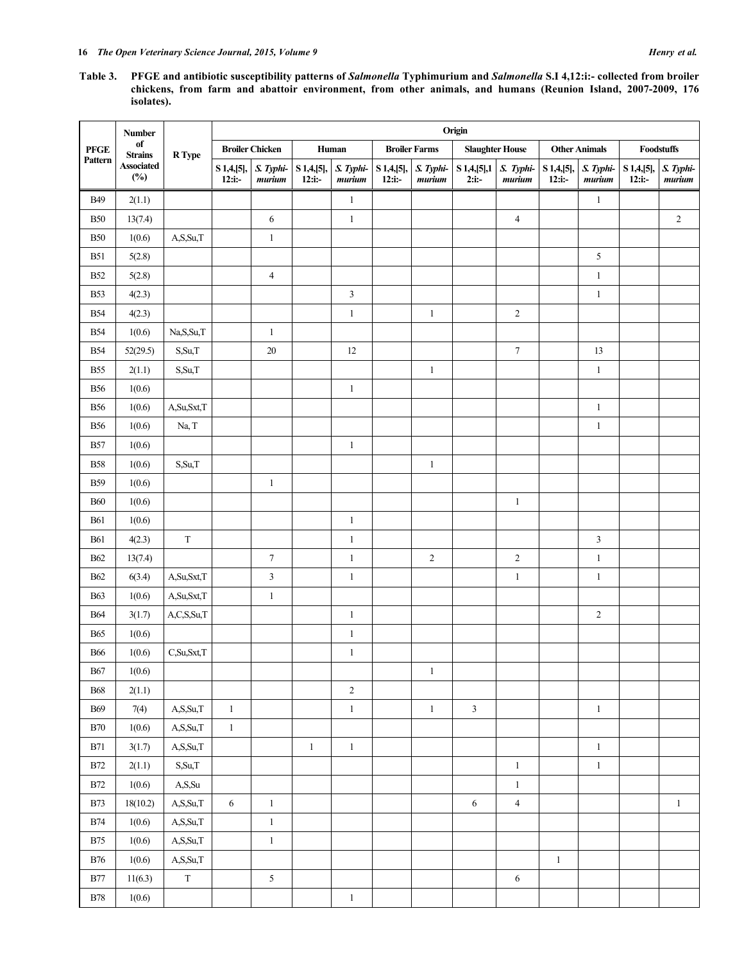**Table 3. PFGE and antibiotic susceptibility patterns of** *Salmonella* **Typhimurium and** *Salmonella* **S.I 4,12:i:- collected from broiler chickens, from farm and abattoir environment, from other animals, and humans (Reunion Island, 2007-2009, 176 isolates).**

|                         | <b>Number</b><br>of<br><b>Strains</b><br><b>Associated</b><br>(%) | R Type      | Origin                          |                        |                           |                      |                                   |                  |                                   |                |                       |                     |                         |                     |
|-------------------------|-------------------------------------------------------------------|-------------|---------------------------------|------------------------|---------------------------|----------------------|-----------------------------------|------------------|-----------------------------------|----------------|-----------------------|---------------------|-------------------------|---------------------|
| ${\bf PFGE}$<br>Pattern |                                                                   |             | <b>Broiler Chicken</b><br>Human |                        |                           | <b>Broiler Farms</b> |                                   |                  | <b>Slaughter House</b>            |                | <b>Other Animals</b>  |                     | Foodstuffs              |                     |
|                         |                                                                   |             | $S$ 1,4,[5],<br>$12:ii:-$       | S. Typhi-<br>$m$ urium | $S$ 1,4,[5],<br>$12:ii:-$ | S. Typhi-<br>murium  | S 1,4,[5], S. Typhi-<br>$12:ii:-$ | $m$ <i>urium</i> | S 1,4,[5],1 S. Typhi-<br>$2:$ i:- | $m$ urium      | $S$ 1,4,[5],<br>12:ii | S. Typhi-<br>murium | S 1,4,[5],<br>$12:ii:-$ | S. Typhi-<br>murium |
| <b>B49</b>              | 2(1.1)                                                            |             |                                 |                        |                           | $\,1\,$              |                                   |                  |                                   |                |                       | $\mathbf{1}$        |                         |                     |
| <b>B50</b>              | 13(7.4)                                                           |             |                                 | 6                      |                           | $\,1\,$              |                                   |                  |                                   | $\overline{4}$ |                       |                     |                         | $\sqrt{2}$          |
| <b>B50</b>              | 1(0.6)                                                            | A,S,Su,T    |                                 | $\mathbf{1}$           |                           |                      |                                   |                  |                                   |                |                       |                     |                         |                     |
| <b>B51</b>              | 5(2.8)                                                            |             |                                 |                        |                           |                      |                                   |                  |                                   |                |                       | $\sqrt{5}$          |                         |                     |
| <b>B52</b>              | 5(2.8)                                                            |             |                                 | $\overline{4}$         |                           |                      |                                   |                  |                                   |                |                       | $\,1$               |                         |                     |
| <b>B53</b>              | 4(2.3)                                                            |             |                                 |                        |                           | $\mathfrak{Z}$       |                                   |                  |                                   |                |                       | $\mathbf{1}$        |                         |                     |
| <b>B54</b>              | 4(2.3)                                                            |             |                                 |                        |                           | $\mathbf{1}$         |                                   | $\mathbf{1}$     |                                   | $\sqrt{2}$     |                       |                     |                         |                     |
| <b>B54</b>              | 1(0.6)                                                            | Na,S,Su,T   |                                 | $\mathbf{1}$           |                           |                      |                                   |                  |                                   |                |                       |                     |                         |                     |
| <b>B54</b>              | 52(29.5)                                                          | S, Su, T    |                                 | $20\,$                 |                           | $12\,$               |                                   |                  |                                   | $\tau$         |                       | 13                  |                         |                     |
| <b>B55</b>              | 2(1.1)                                                            | S, Su, T    |                                 |                        |                           |                      |                                   | $\mathbf{1}$     |                                   |                |                       | $\mathbf{1}$        |                         |                     |
| <b>B56</b>              | 1(0.6)                                                            |             |                                 |                        |                           | $\mathbf{1}$         |                                   |                  |                                   |                |                       |                     |                         |                     |
| <b>B56</b>              | 1(0.6)                                                            | A,Su,Sxt,T  |                                 |                        |                           |                      |                                   |                  |                                   |                |                       | $\mathbf{1}$        |                         |                     |
| <b>B56</b>              | 1(0.6)                                                            | Na, T       |                                 |                        |                           |                      |                                   |                  |                                   |                |                       | $\mathbf{1}$        |                         |                     |
| <b>B57</b>              | 1(0.6)                                                            |             |                                 |                        |                           | $\mathbf{1}$         |                                   |                  |                                   |                |                       |                     |                         |                     |
| <b>B58</b>              | 1(0.6)                                                            | S,Su,T      |                                 |                        |                           |                      |                                   | $\,1$            |                                   |                |                       |                     |                         |                     |
| <b>B59</b>              | 1(0.6)                                                            |             |                                 | $\mathbf{1}$           |                           |                      |                                   |                  |                                   |                |                       |                     |                         |                     |
| <b>B60</b>              | 1(0.6)                                                            |             |                                 |                        |                           |                      |                                   |                  |                                   | $\mathbf{1}$   |                       |                     |                         |                     |
| <b>B61</b>              | 1(0.6)                                                            |             |                                 |                        |                           | $\mathbf{1}$         |                                   |                  |                                   |                |                       |                     |                         |                     |
| <b>B61</b>              | 4(2.3)                                                            | $\mathbf T$ |                                 |                        |                           | $\mathbf{1}$         |                                   |                  |                                   |                |                       | $\mathfrak{Z}$      |                         |                     |
| <b>B62</b>              | 13(7.4)                                                           |             |                                 | $\boldsymbol{7}$       |                           | $\,1\,$              |                                   | $\sqrt{2}$       |                                   | $\sqrt{2}$     |                       | $\,1$               |                         |                     |
| <b>B62</b>              | 6(3.4)                                                            | A,Su,Sxt,T  |                                 | $\mathfrak{Z}$         |                           | $\mathbf{1}$         |                                   |                  |                                   | $\mathbf{1}$   |                       | $\mathbf{1}$        |                         |                     |
| <b>B63</b>              | 1(0.6)                                                            | A,Su,Sxt,T  |                                 | $\mathbf{1}$           |                           |                      |                                   |                  |                                   |                |                       |                     |                         |                     |
| <b>B64</b>              | 3(1.7)                                                            | A,C,S,Su,T  |                                 |                        |                           | $\mathbf{1}$         |                                   |                  |                                   |                |                       | $\overline{c}$      |                         |                     |
| <b>B65</b>              | 1(0.6)                                                            |             |                                 |                        |                           | $\mathbf{1}$         |                                   |                  |                                   |                |                       |                     |                         |                     |
| <b>B66</b>              | 1(0.6)                                                            | C,Su,Sxt,T  |                                 |                        |                           | $\mathbf{1}$         |                                   |                  |                                   |                |                       |                     |                         |                     |
| <b>B67</b>              | 1(0.6)                                                            |             |                                 |                        |                           |                      |                                   | $\,1$            |                                   |                |                       |                     |                         |                     |
| <b>B68</b>              | 2(1.1)                                                            |             |                                 |                        |                           | $\sqrt{2}$           |                                   |                  |                                   |                |                       |                     |                         |                     |
| $\rm B69$               | 7(4)                                                              | A, S, Su, T | $\mathbf{1}$                    |                        |                           | $\mathbf{1}$         |                                   | $\,1\,$          | $\mathfrak{Z}$                    |                |                       | $\mathbf{1}$        |                         |                     |
| ${\bf B70}$             | 1(0.6)                                                            | A,S,Su,T    | $\mathbf{1}$                    |                        |                           |                      |                                   |                  |                                   |                |                       |                     |                         |                     |
| <b>B71</b>              | 3(1.7)                                                            | A, S, Su, T |                                 |                        | $\mathbf{1}$              | $\,1$                |                                   |                  |                                   |                |                       | $\,1$               |                         |                     |
| $\rm{B}72$              | 2(1.1)                                                            | S, Su, T    |                                 |                        |                           |                      |                                   |                  |                                   | $\mathbf{1}$   |                       | $\mathbf{1}$        |                         |                     |
| <b>B72</b>              | 1(0.6)                                                            | A,S,Su      |                                 |                        |                           |                      |                                   |                  |                                   | $\mathbf{1}$   |                       |                     |                         |                     |
| $\rm{B}73$              | 18(10.2)                                                          | A,S,Su,T    | $\sqrt{6}$                      | $\mathbf{1}$           |                           |                      |                                   |                  | 6                                 | $\overline{4}$ |                       |                     |                         | $\mathbf{1}$        |
| <b>B74</b>              | 1(0.6)                                                            | A, S, Su, T |                                 | $\mathbf{1}$           |                           |                      |                                   |                  |                                   |                |                       |                     |                         |                     |
| $\rm{B75}$              | 1(0.6)                                                            | A, S, Su, T |                                 | $\mathbf{1}$           |                           |                      |                                   |                  |                                   |                |                       |                     |                         |                     |
| <b>B76</b>              | 1(0.6)                                                            | A,S,Su,T    |                                 |                        |                           |                      |                                   |                  |                                   |                | $\mathbf{1}$          |                     |                         |                     |
| <b>B77</b>              | 11(6.3)                                                           | $\rm T$     |                                 | $\sqrt{5}$             |                           |                      |                                   |                  |                                   | 6              |                       |                     |                         |                     |
| $\rm{B78}$              | 1(0.6)                                                            |             |                                 |                        |                           | $\mathbf{1}$         |                                   |                  |                                   |                |                       |                     |                         |                     |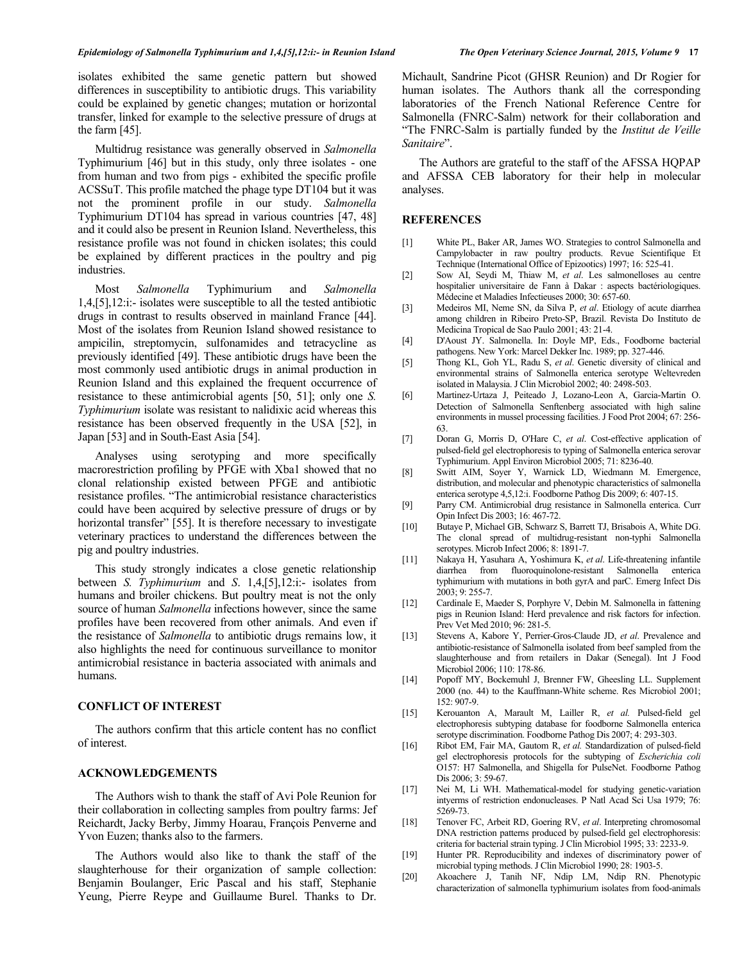isolates exhibited the same genetic pattern but showed differences in susceptibility to antibiotic drugs. This variability could be explained by genetic changes; mutation or horizontal transfer, linked for example to the selective pressure of drugs at the farm [45].

Multidrug resistance was generally observed in *Salmonella* Typhimurium [46] but in this study, only three isolates - one from human and two from pigs - exhibited the specific profile ACSSuT. This profile matched the phage type DT104 but it was not the prominent profile in our study. *Salmonella* Typhimurium DT104 has spread in various countries [47, 48] and it could also be present in Reunion Island. Nevertheless, this resistance profile was not found in chicken isolates; this could be explained by different practices in the poultry and pig industries.

Most *Salmonella* Typhimurium and *Salmonella* 1,4,[5],12:i:- isolates were susceptible to all the tested antibiotic drugs in contrast to results observed in mainland France [44]. Most of the isolates from Reunion Island showed resistance to ampicilin, streptomycin, sulfonamides and tetracycline as previously identified [49]. These antibiotic drugs have been the most commonly used antibiotic drugs in animal production in Reunion Island and this explained the frequent occurrence of resistance to these antimicrobial agents [50, 51]; only one *S. Typhimurium* isolate was resistant to nalidixic acid whereas this resistance has been observed frequently in the USA [52], in Japan [53] and in South-East Asia [54].

Analyses using serotyping and more specifically macrorestriction profiling by PFGE with Xba1 showed that no clonal relationship existed between PFGE and antibiotic resistance profiles. "The antimicrobial resistance characteristics could have been acquired by selective pressure of drugs or by horizontal transfer" [55]. It is therefore necessary to investigate veterinary practices to understand the differences between the pig and poultry industries.

This study strongly indicates a close genetic relationship between *S. Typhimurium* and *S*. 1,4,[5],12:i:- isolates from humans and broiler chickens. But poultry meat is not the only source of human *Salmonella* infections however, since the same profiles have been recovered from other animals. And even if the resistance of *Salmonella* to antibiotic drugs remains low, it also highlights the need for continuous surveillance to monitor antimicrobial resistance in bacteria associated with animals and humans.

#### **CONFLICT OF INTEREST**

The authors confirm that this article content has no conflict of interest.

#### **ACKNOWLEDGEMENTS**

The Authors wish to thank the staff of Avi Pole Reunion for their collaboration in collecting samples from poultry farms: Jef Reichardt, Jacky Berby, Jimmy Hoarau, François Penverne and Yvon Euzen; thanks also to the farmers.

The Authors would also like to thank the staff of the slaughterhouse for their organization of sample collection: Benjamin Boulanger, Eric Pascal and his staff, Stephanie Yeung, Pierre Reype and Guillaume Burel. Thanks to Dr.

Michault, Sandrine Picot (GHSR Reunion) and Dr Rogier for human isolates. The Authors thank all the corresponding laboratories of the French National Reference Centre for Salmonella (FNRC-Salm) network for their collaboration and "The FNRC-Salm is partially funded by the *Institut de Veille Sanitaire*".

The Authors are grateful to the staff of the AFSSA HQPAP and AFSSA CEB laboratory for their help in molecular analyses.

## **REFERENCES**

- [1] White PL, Baker AR, James WO. Strategies to control Salmonella and Campylobacter in raw poultry products. Revue Scientifique Et Technique (International Office of Epizootics) 1997; 16: 525-41.
- [2] Sow AI, Seydi M, Thiaw M, *et al*. Les salmonelloses au centre hospitalier universitaire de Fann à Dakar : aspects bactériologiques. Médecine et Maladies Infectieuses 2000; 30: 657-60.
- [3] Medeiros MI, Neme SN, da Silva P, *et al*. Etiology of acute diarrhea among children in Ribeiro Preto-SP, Brazil. Revista Do Instituto de Medicina Tropical de Sao Paulo 2001; 43: 21-4.
- [4] D'Aoust JY. Salmonella. In: Doyle MP, Eds., Foodborne bacterial pathogens. New York: Marcel Dekker Inc. 1989; pp. 327-446.
- [5] Thong KL, Goh YL, Radu S, *et al*. Genetic diversity of clinical and environmental strains of Salmonella enterica serotype Weltevreden isolated in Malaysia. J Clin Microbiol 2002; 40: 2498-503.
- [6] Martinez-Urtaza J, Peiteado J, Lozano-Leon A, Garcia-Martin O. Detection of Salmonella Senftenberg associated with high saline environments in mussel processing facilities. J Food Prot 2004; 67: 256- 63.
- [7] Doran G, Morris D, O'Hare C, *et al*. Cost-effective application of pulsed-field gel electrophoresis to typing of Salmonella enterica serovar Typhimurium. Appl Environ Microbiol 2005; 71: 8236-40.
- [8] Switt AIM, Soyer Y, Warnick LD, Wiedmann M. Emergence, distribution, and molecular and phenotypic characteristics of salmonella enterica serotype 4,5,12:i. Foodborne Pathog Dis 2009; 6: 407-15.
- [9] Parry CM. Antimicrobial drug resistance in Salmonella enterica. Curr Opin Infect Dis 2003; 16: 467-72.
- [10] Butaye P, Michael GB, Schwarz S, Barrett TJ, Brisabois A, White DG. The clonal spread of multidrug-resistant non-typhi Salmonella serotypes. Microb Infect 2006; 8: 1891-7.
- [11] Nakaya H, Yasuhara A, Yoshimura K, *et al*. Life-threatening infantile diarrhea from fluoroquinolone-resistant Salmonella enterica typhimurium with mutations in both gyrA and parC. Emerg Infect Dis 2003; 9: 255-7.
- [12] Cardinale E, Maeder S, Porphyre V, Debin M. Salmonella in fattening pigs in Reunion Island: Herd prevalence and risk factors for infection. Prev Vet Med 2010; 96: 281-5.
- [13] Stevens A, Kabore Y, Perrier-Gros-Claude JD, *et al*. Prevalence and antibiotic-resistance of Salmonella isolated from beef sampled from the slaughterhouse and from retailers in Dakar (Senegal). Int J Food Microbiol 2006; 110: 178-86.
- [14] Popoff MY, Bockemuhl J, Brenner FW, Gheesling LL. Supplement 2000 (no. 44) to the Kauffmann-White scheme. Res Microbiol 2001; 152: 907-9.
- [15] Kerouanton A, Marault M, Lailler R, *et al.* Pulsed-field gel electrophoresis subtyping database for foodborne Salmonella enterica serotype discrimination. Foodborne Pathog Dis 2007; 4: 293-303.
- [16] Ribot EM, Fair MA, Gautom R, et al. Standardization of pulsed-field gel electrophoresis protocols for the subtyping of *Escherichia coli* O157: H7 Salmonella, and Shigella for PulseNet. Foodborne Pathog Dis 2006; 3: 59-67.
- [17] Nei M, Li WH. Mathematical-model for studying genetic-variation intyerms of restriction endonucleases. P Natl Acad Sci Usa 1979; 76: 5269-73.
- [18] Tenover FC, Arbeit RD, Goering RV, *et al*. Interpreting chromosomal DNA restriction patterns produced by pulsed-field gel electrophoresis: criteria for bacterial strain typing. J Clin Microbiol 1995; 33: 2233-9.
- [19] Hunter PR. Reproducibility and indexes of discriminatory power of microbial typing methods. J Clin Microbiol 1990; 28: 1903-5.
- [20] Akoachere J, Tanih NF, Ndip LM, Ndip RN. Phenotypic characterization of salmonella typhimurium isolates from food-animals